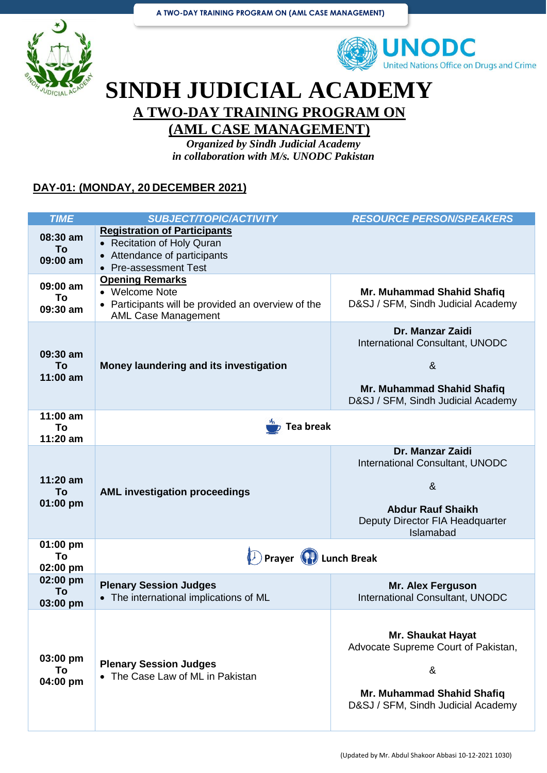



## **SINDH JUDICIAL ACADEMY A TWO-DAY TRAINING PROGRAM ON**

### **(AML CASE MANAGEMENT)**

*Organized by Sindh Judicial Academy in collaboration with M/s. UNODC Pakistan*

#### **DAY-01: (MONDAY, 20 DECEMBER 2021)**

| <b>TIME</b>                  | <b>SUBJECT/TOPIC/ACTIVITY</b>                                                                                                                           | <b>RESOURCE PERSON/SPEAKERS</b>                                                                                                                   |
|------------------------------|---------------------------------------------------------------------------------------------------------------------------------------------------------|---------------------------------------------------------------------------------------------------------------------------------------------------|
| 08:30 am<br>To<br>09:00 am   | <b>Registration of Participants</b><br><b>Recitation of Holy Quran</b><br>$\bullet$<br>Attendance of participants<br>$\bullet$<br>• Pre-assessment Test |                                                                                                                                                   |
| 09:00 am<br>To<br>09:30 am   | <b>Opening Remarks</b><br>• Welcome Note<br>Participants will be provided an overview of the<br>$\bullet$<br><b>AML Case Management</b>                 | Mr. Muhammad Shahid Shafiq<br>D&SJ / SFM, Sindh Judicial Academy                                                                                  |
| 09:30 am<br>To<br>$11:00$ am | Money laundering and its investigation                                                                                                                  | Dr. Manzar Zaidi<br><b>International Consultant, UNODC</b><br>8 <sub>x</sub><br>Mr. Muhammad Shahid Shafiq<br>D&SJ / SFM, Sindh Judicial Academy  |
| $11:00$ am<br>To<br>11:20 am | <b>Tea break</b>                                                                                                                                        |                                                                                                                                                   |
| $11:20$ am<br>To<br>01:00 pm | <b>AML investigation proceedings</b>                                                                                                                    | Dr. Manzar Zaidi<br>International Consultant, UNODC<br>8 <sub>x</sub><br><b>Abdur Rauf Shaikh</b><br>Deputy Director FIA Headquarter<br>Islamabad |
| 01:00 pm<br>To<br>02:00 pm   | Prayer (P) Lunch Break                                                                                                                                  |                                                                                                                                                   |
| 02:00 pm<br>To<br>03:00 pm   | <b>Plenary Session Judges</b><br>• The international implications of ML                                                                                 | <b>Mr. Alex Ferguson</b><br>International Consultant, UNODC                                                                                       |
| 03:00 pm<br>To<br>04:00 pm   | <b>Plenary Session Judges</b><br>• The Case Law of ML in Pakistan                                                                                       | <b>Mr. Shaukat Hayat</b><br>Advocate Supreme Court of Pakistan,<br>&<br>Mr. Muhammad Shahid Shafiq<br>D&SJ / SFM, Sindh Judicial Academy          |